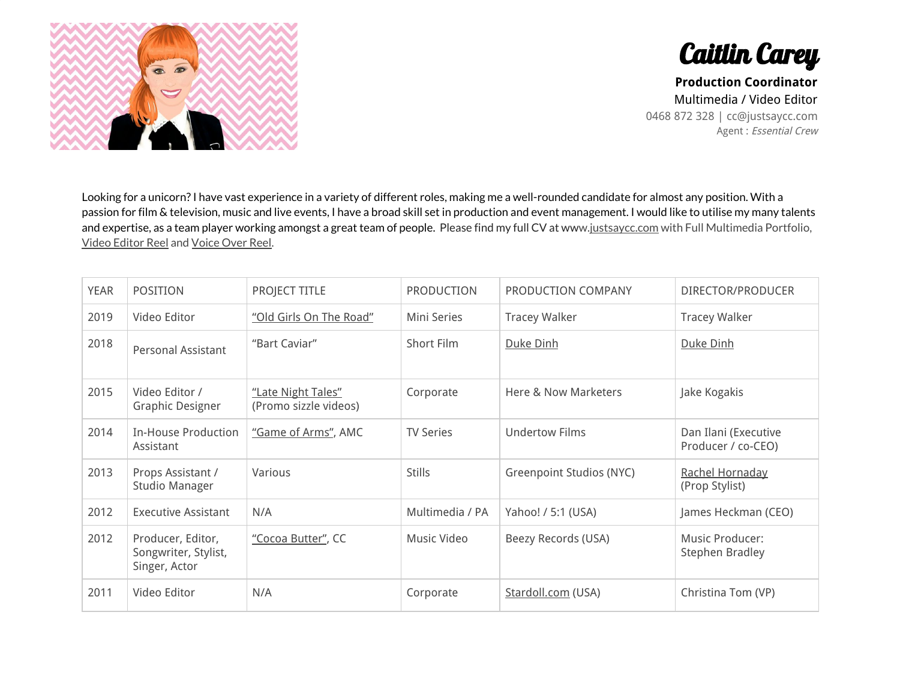



**Production Coordinator** Multimedia / Video Editor 0468 872 328 | cc@justsaycc.com Agent : Essential Crew

Looking for a unicorn?I have vast experience in a variety of different roles, making me a well-rounded candidate for almost any position. With a passion for film & television, music and live events, I have a broad skill set in production and event management. I would like to utilise my many talents and expertise, as a team player working amongst a great team of people. Please find my full CV at www[.justsaycc.com](http://justsaycc.com/) with Full Multimedia Portfolio, Video [Editor](http://www.justsaycc.com/video-editing) Reel and [Voice](http://www.justsaycc.com/#voiceover-reel) Over Reel.

| <b>YEAR</b> | <b>POSITION</b>                                            | PROJECT TITLE                               | PRODUCTION         | PRODUCTION COMPANY       | DIRECTOR/PRODUCER                          |
|-------------|------------------------------------------------------------|---------------------------------------------|--------------------|--------------------------|--------------------------------------------|
| 2019        | Video Editor                                               | "Old Girls On The Road"                     | <b>Mini Series</b> | <b>Tracey Walker</b>     | <b>Tracey Walker</b>                       |
| 2018        | Personal Assistant                                         | "Bart Caviar"                               | Short Film         | Duke Dinh                | Duke Dinh                                  |
| 2015        | Video Editor /<br><b>Graphic Designer</b>                  | "Late Night Tales"<br>(Promo sizzle videos) | Corporate          | Here & Now Marketers     | Jake Kogakis                               |
| 2014        | <b>In-House Production</b><br>Assistant                    | "Game of Arms", AMC                         | <b>TV Series</b>   | <b>Undertow Films</b>    | Dan Ilani (Executive<br>Producer / co-CEO) |
| 2013        | Props Assistant /<br>Studio Manager                        | Various                                     | <b>Stills</b>      | Greenpoint Studios (NYC) | Rachel Hornaday<br>(Prop Stylist)          |
| 2012        | <b>Executive Assistant</b>                                 | N/A                                         | Multimedia / PA    | Yahoo! / 5:1 (USA)       | James Heckman (CEO)                        |
| 2012        | Producer, Editor,<br>Songwriter, Stylist,<br>Singer, Actor | "Cocoa Butter", CC                          | Music Video        | Beezy Records (USA)      | Music Producer:<br>Stephen Bradley         |
| 2011        | Video Editor                                               | N/A                                         | Corporate          | Stardoll.com (USA)       | Christina Tom (VP)                         |